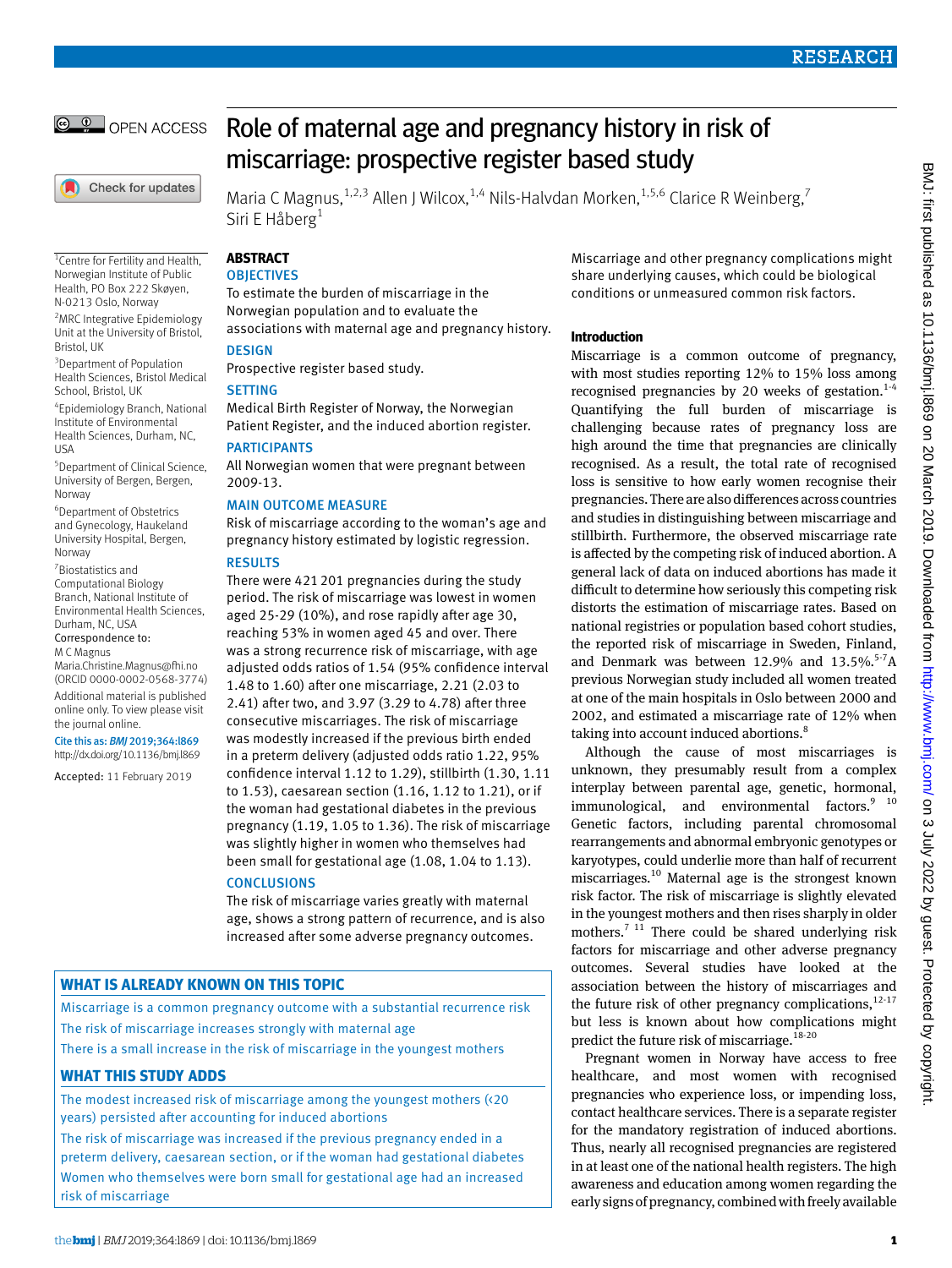

Check for updates

<sup>1</sup> Centre for Fertility and Health, Norwegian Institute of Public Health, PO Box 222 Skøyen, N-0213 Oslo, Norway <sup>2</sup>MRC Integrative Epidemiology Unit at the University of Bristol,

<sup>3</sup> Department of Population Health Sciences, Bristol Medical

4 Epidemiology Branch, National Institute of Environmental Health Sciences, Durham, NC,

5 Department of Clinical Science, University of Bergen, Bergen,

6 Department of Obstetrics and Gynecology, Haukeland University Hospital, Bergen,

[Maria.Christine.Magnus@fhi.no](mailto:Maria.Christine.Magnus@fhi.no) (ORCID [0000-0002-0568-3774\)](https://orcid.org/0000-0002-0568-3774) Additional material is published online only. To view please visit

Cite this as: *BMJ* 2019;364:l869 [http://dx.doi.org/10.1136/bmj.l](https://orcid.org/0000-0001-9651-7829)869 Accepted: 11 February 2019

School, Bristol, UK

Bristol, UK

**IISA** 

Norway

Norway 7 Biostatistics and Computational Biology Branch, National Institute of Environmental Health Sciences,

Durham, NC, USA Correspondence to: M C Magnus

the journal online.

Role of maternal age and pregnancy history in risk of miscarriage: prospective register based study

Maria C Magnus,  $^{1,2,3}$  Allen J Wilcox,  $^{1,4}$  Nils-Halvdan Morken,  $^{1,5,6}$  Clarice R Weinberg,  $^7$ Siri E Håberg<sup>1</sup>

# **ABSTRACT**

## **OBJECTIVES**

To estimate the burden of miscarriage in the Norwegian population and to evaluate the associations with maternal age and pregnancy history.

## **DESIGN**

Prospective register based study.

## **SETTING**

Medical Birth Register of Norway, the Norwegian Patient Register, and the induced abortion register.

## PARTICIPANTS

All Norwegian women that were pregnant between 2009-13.

## MAIN OUTCOME MEASURE

Risk of miscarriage according to the woman's age and pregnancy history estimated by logistic regression.

### RESULTS

There were 421201 pregnancies during the study period. The risk of miscarriage was lowest in women aged 25-29 (10%), and rose rapidly after age 30, reaching 53% in women aged 45 and over. There was a strong recurrence risk of miscarriage, with age adjusted odds ratios of 1.54 (95% confidence interval 1.48 to 1.60) after one miscarriage, 2.21 (2.03 to 2.41) after two, and 3.97 (3.29 to 4.78) after three consecutive miscarriages. The risk of miscarriage was modestly increased if the previous birth ended in a preterm delivery (adjusted odds ratio 1.22, 95% confidence interval 1.12 to 1.29), stillbirth (1.30, 1.11 to 1.53), caesarean section (1.16, 1.12 to 1.21), or if the woman had gestational diabetes in the previous pregnancy (1.19, 1.05 to 1.36). The risk of miscarriage was slightly higher in women who themselves had been small for gestational age (1.08, 1.04 to 1.13).

### **CONCLUSIONS**

The risk of miscarriage varies greatly with maternal age, shows a strong pattern of recurrence, and is also increased after some adverse pregnancy outcomes.

# **WHAT IS ALREADY KNOWN ON THIS TOPIC**

Miscarriage is a common pregnancy outcome with a substantial recurrence risk The risk of miscarriage increases strongly with maternal age

There is a small increase in the risk of miscarriage in the youngest mothers

## **WHAT THIS STUDY ADDS**

The modest increased risk of miscarriage among the youngest mothers (<20 years) persisted after accounting for induced abortions

The risk of miscarriage was increased if the previous pregnancy ended in a preterm delivery, caesarean section, or if the woman had gestational diabetes Women who themselves were born small for gestational age had an increased risk of miscarriage

Miscarriage and other pregnancy complications might share underlying causes, which could be biological conditions or unmeasured common risk factors.

### **Introduction**

Miscarriage is a common outcome of pregnancy, with most studies reporting 12% to 15% loss among recognised pregnancies by 20 weeks of gestation.<sup>1-4</sup> Quantifying the full burden of miscarriage is challenging because rates of pregnancy loss are high around the time that pregnancies are clinically recognised. As a result, the total rate of recognised loss is sensitive to how early women recognise their pregnancies. There are also differences across countries and studies in distinguishing between miscarriage and stillbirth. Furthermore, the observed miscarriage rate is affected by the competing risk of induced abortion. A general lack of data on induced abortions has made it difficult to determine how seriously this competing risk distorts the estimation of miscarriage rates. Based on national registries or population based cohort studies, the reported risk of miscarriage in Sweden, Finland, and Denmark was between 12.9% and  $13.5\%$ .<sup>5-7</sup>A previous Norwegian study included all women treated at one of the main hospitals in Oslo between 2000 and 2002, and estimated a miscarriage rate of 12% when taking into account induced abortions.<sup>8</sup>

Although the cause of most miscarriages is unknown, they presumably result from a complex interplay between parental age, genetic, hormonal,  $immunological$ , and environmental factors. $9^{9}$  10 Genetic factors, including parental chromosomal rearrangements and abnormal embryonic genotypes or karyotypes, could underlie more than half of recurrent miscarriages.10 Maternal age is the strongest known risk factor. The risk of miscarriage is slightly elevated in the youngest mothers and then rises sharply in older mothers.<sup>7 11</sup> There could be shared underlying risk factors for miscarriage and other adverse pregnancy outcomes. Several studies have looked at the association between the history of miscarriages and the future risk of other pregnancy complications,<sup>12-17</sup> but less is known about how complications might predict the future risk of miscarriage.<sup>18-20</sup>

Pregnant women in Norway have access to free healthcare, and most women with recognised pregnancies who experience loss, or impending loss, contact healthcare services. There is a separate register for the mandatory registration of induced abortions. Thus, nearly all recognised pregnancies are registered in at least one of the national health registers. The high awareness and education among women regarding the early signs of pregnancy, combined with freely available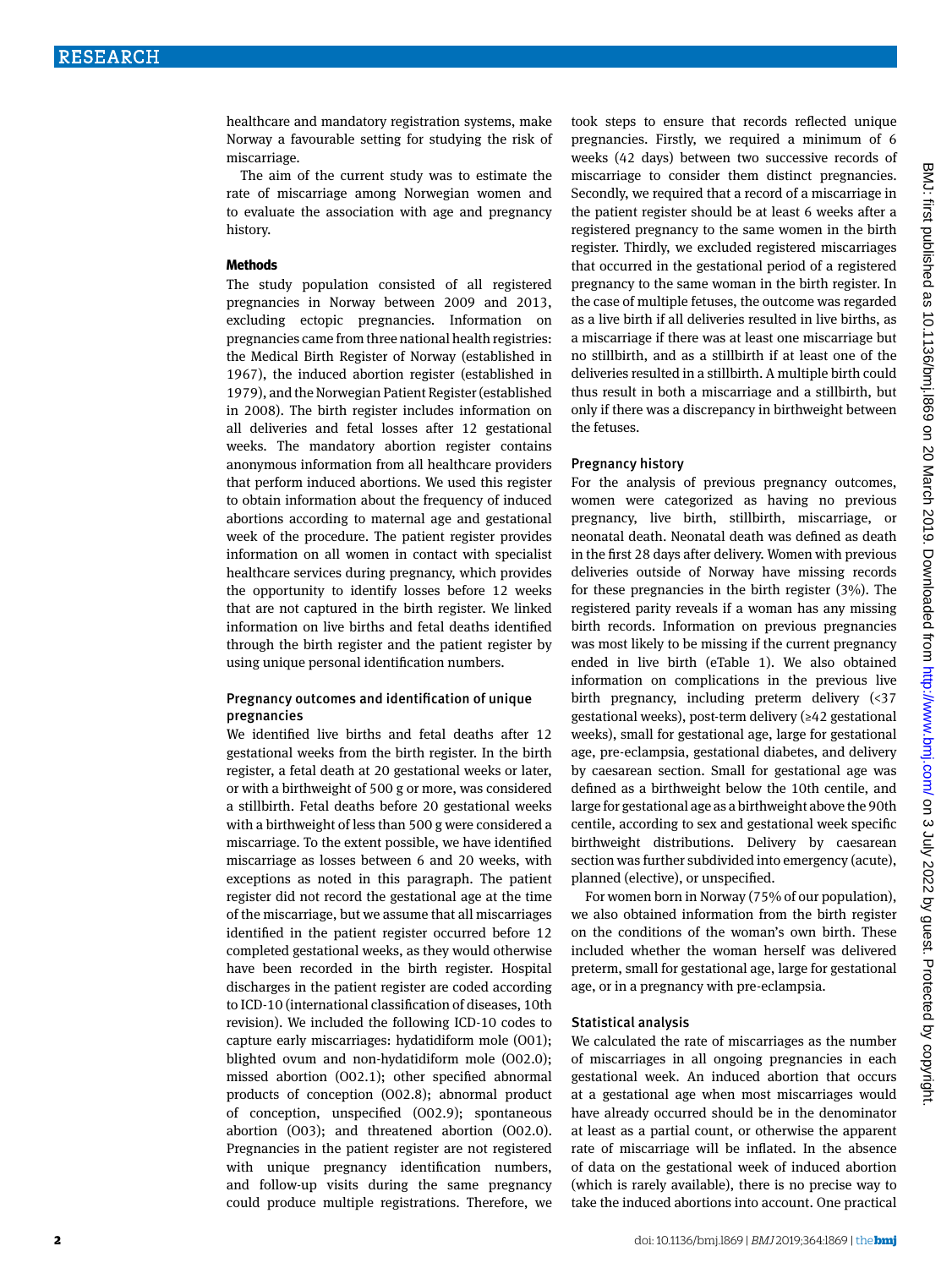healthcare and mandatory registration systems, make Norway a favourable setting for studying the risk of miscarriage.

The aim of the current study was to estimate the rate of miscarriage among Norwegian women and to evaluate the association with age and pregnancy history.

#### **Methods**

The study population consisted of all registered pregnancies in Norway between 2009 and 2013, excluding ectopic pregnancies. Information on pregnancies came from three national health registries: the Medical Birth Register of Norway (established in 1967), the induced abortion register (established in 1979), and the Norwegian Patient Register (established in 2008). The birth register includes information on all deliveries and fetal losses after 12 gestational weeks. The mandatory abortion register contains anonymous information from all healthcare providers that perform induced abortions. We used this register to obtain information about the frequency of induced abortions according to maternal age and gestational week of the procedure. The patient register provides information on all women in contact with specialist healthcare services during pregnancy, which provides the opportunity to identify losses before 12 weeks that are not captured in the birth register. We linked information on live births and fetal deaths identified through the birth register and the patient register by using unique personal identification numbers.

### Pregnancy outcomes and identification of unique pregnancies

We identified live births and fetal deaths after 12 gestational weeks from the birth register. In the birth register, a fetal death at 20 gestational weeks or later, or with a birthweight of 500 g or more, was considered a stillbirth. Fetal deaths before 20 gestational weeks with a birthweight of less than 500 g were considered a miscarriage. To the extent possible, we have identified miscarriage as losses between 6 and 20 weeks, with exceptions as noted in this paragraph. The patient register did not record the gestational age at the time of the miscarriage, but we assume that all miscarriages identified in the patient register occurred before 12 completed gestational weeks, as they would otherwise have been recorded in the birth register. Hospital discharges in the patient register are coded according to ICD-10 (international classification of diseases, 10th revision). We included the following ICD-10 codes to capture early miscarriages: hydatidiform mole (O01); blighted ovum and non-hydatidiform mole (O02.0); missed abortion (O02.1); other specified abnormal products of conception (O02.8); abnormal product of conception, unspecified (O02.9); spontaneous abortion (O03); and threatened abortion (O02.0). Pregnancies in the patient register are not registered with unique pregnancy identification numbers, and follow-up visits during the same pregnancy could produce multiple registrations. Therefore, we

took steps to ensure that records reflected unique pregnancies. Firstly, we required a minimum of 6 weeks (42 days) between two successive records of miscarriage to consider them distinct pregnancies. Secondly, we required that a record of a miscarriage in the patient register should be at least 6 weeks after a registered pregnancy to the same women in the birth register. Thirdly, we excluded registered miscarriages that occurred in the gestational period of a registered pregnancy to the same woman in the birth register. In the case of multiple fetuses, the outcome was regarded as a live birth if all deliveries resulted in live births, as a miscarriage if there was at least one miscarriage but no stillbirth, and as a stillbirth if at least one of the deliveries resulted in a stillbirth. A multiple birth could thus result in both a miscarriage and a stillbirth, but only if there was a discrepancy in birthweight between the fetuses.

#### Pregnancy history

For the analysis of previous pregnancy outcomes, women were categorized as having no previous pregnancy, live birth, stillbirth, miscarriage, or neonatal death. Neonatal death was defined as death in the first 28 days after delivery. Women with previous deliveries outside of Norway have missing records for these pregnancies in the birth register (3%). The registered parity reveals if a woman has any missing birth records. Information on previous pregnancies was most likely to be missing if the current pregnancy ended in live birth (eTable 1). We also obtained information on complications in the previous live birth pregnancy, including preterm delivery (<37 gestational weeks), post-term delivery (≥42 gestational weeks), small for gestational age, large for gestational age, pre-eclampsia, gestational diabetes, and delivery by caesarean section. Small for gestational age was defined as a birthweight below the 10th centile, and large for gestational age as a birthweight above the 90th centile, according to sex and gestational week specific birthweight distributions. Delivery by caesarean section was further subdivided into emergency (acute), planned (elective), or unspecified.

For women born in Norway (75% of our population), we also obtained information from the birth register on the conditions of the woman's own birth. These included whether the woman herself was delivered preterm, small for gestational age, large for gestational age, or in a pregnancy with pre-eclampsia.

## Statistical analysis

We calculated the rate of miscarriages as the number of miscarriages in all ongoing pregnancies in each gestational week. An induced abortion that occurs at a gestational age when most miscarriages would have already occurred should be in the denominator at least as a partial count, or otherwise the apparent rate of miscarriage will be inflated. In the absence of data on the gestational week of induced abortion (which is rarely available), there is no precise way to take the induced abortions into account. One practical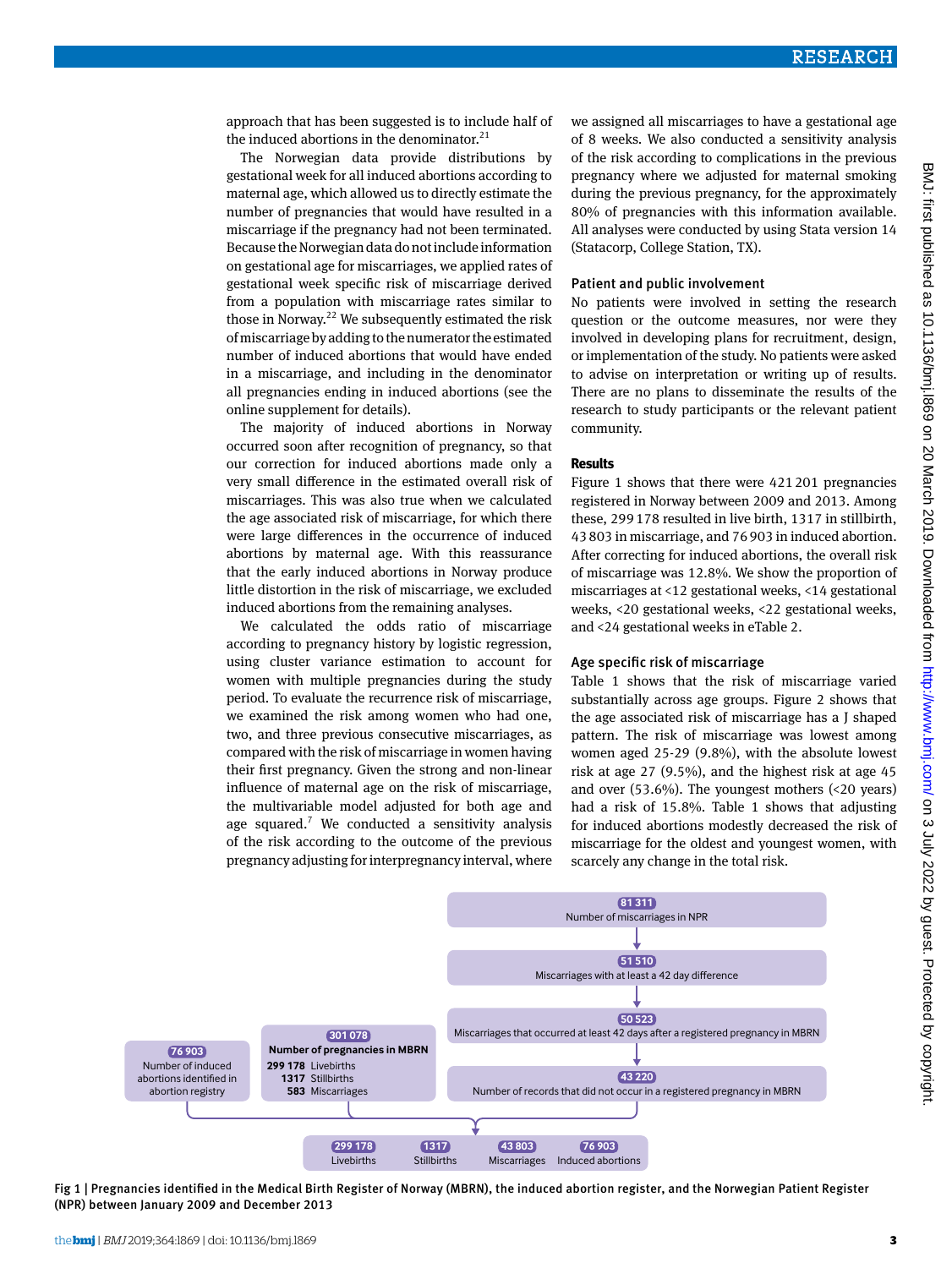approach that has been suggested is to include half of the induced abortions in the denominator.<sup>21</sup>

The Norwegian data provide distributions by gestational week for all induced abortions according to maternal age, which allowed us to directly estimate the number of pregnancies that would have resulted in a miscarriage if the pregnancy had not been terminated. Because the Norwegian data do not include information on gestational age for miscarriages, we applied rates of gestational week specific risk of miscarriage derived from a population with miscarriage rates similar to those in Norway.<sup>22</sup> We subsequently estimated the risk of miscarriage by adding to the numerator the estimated number of induced abortions that would have ended in a miscarriage, and including in the denominator all pregnancies ending in induced abortions (see the online supplement for details).

The majority of induced abortions in Norway occurred soon after recognition of pregnancy, so that our correction for induced abortions made only a very small difference in the estimated overall risk of miscarriages. This was also true when we calculated the age associated risk of miscarriage, for which there were large differences in the occurrence of induced abortions by maternal age. With this reassurance that the early induced abortions in Norway produce little distortion in the risk of miscarriage, we excluded induced abortions from the remaining analyses.

We calculated the odds ratio of miscarriage according to pregnancy history by logistic regression, using cluster variance estimation to account for women with multiple pregnancies during the study period. To evaluate the recurrence risk of miscarriage, we examined the risk among women who had one, two, and three previous consecutive miscarriages, as compared with the risk of miscarriage in women having their first pregnancy. Given the strong and non-linear influence of maternal age on the risk of miscarriage, the multivariable model adjusted for both age and age squared.<sup>7</sup> We conducted a sensitivity analysis of the risk according to the outcome of the previous pregnancy adjusting for interpregnancy interval, where

we assigned all miscarriages to have a gestational age of 8 weeks. We also conducted a sensitivity analysis of the risk according to complications in the previous pregnancy where we adjusted for maternal smoking during the previous pregnancy, for the approximately 80% of pregnancies with this information available. All analyses were conducted by using Stata version 14 (Statacorp, College Station, TX).

#### Patient and public involvement

No patients were involved in setting the research question or the outcome measures, nor were they involved in developing plans for recruitment, design, or implementation of the study. No patients were asked to advise on interpretation or writing up of results. There are no plans to disseminate the results of the research to study participants or the relevant patient community.

#### **Results**

Figure 1 shows that there were 421201 pregnancies registered in Norway between 2009 and 2013. Among these, 299178 resulted in live birth, 1317 in stillbirth, 43803 in miscarriage, and 76903 in induced abortion. After correcting for induced abortions, the overall risk of miscarriage was 12.8%. We show the proportion of miscarriages at <12 gestational weeks, <14 gestational weeks, <20 gestational weeks, <22 gestational weeks, and <24 gestational weeks in eTable 2.

## Age specific risk of miscarriage

Table 1 shows that the risk of miscarriage varied substantially across age groups. Figure 2 shows that the age associated risk of miscarriage has a J shaped pattern. The risk of miscarriage was lowest among women aged 25-29 (9.8%), with the absolute lowest risk at age 27 (9.5%), and the highest risk at age 45 and over (53.6%). The youngest mothers (<20 years) had a risk of 15.8%. Table 1 shows that adjusting for induced abortions modestly decreased the risk of miscarriage for the oldest and youngest women, with scarcely any change in the total risk.



Fig 1 | Pregnancies identified in the Medical Birth Register of Norway (MBRN), the induced abortion register, and the Norwegian Patient Register (NPR) between January 2009 and December 2013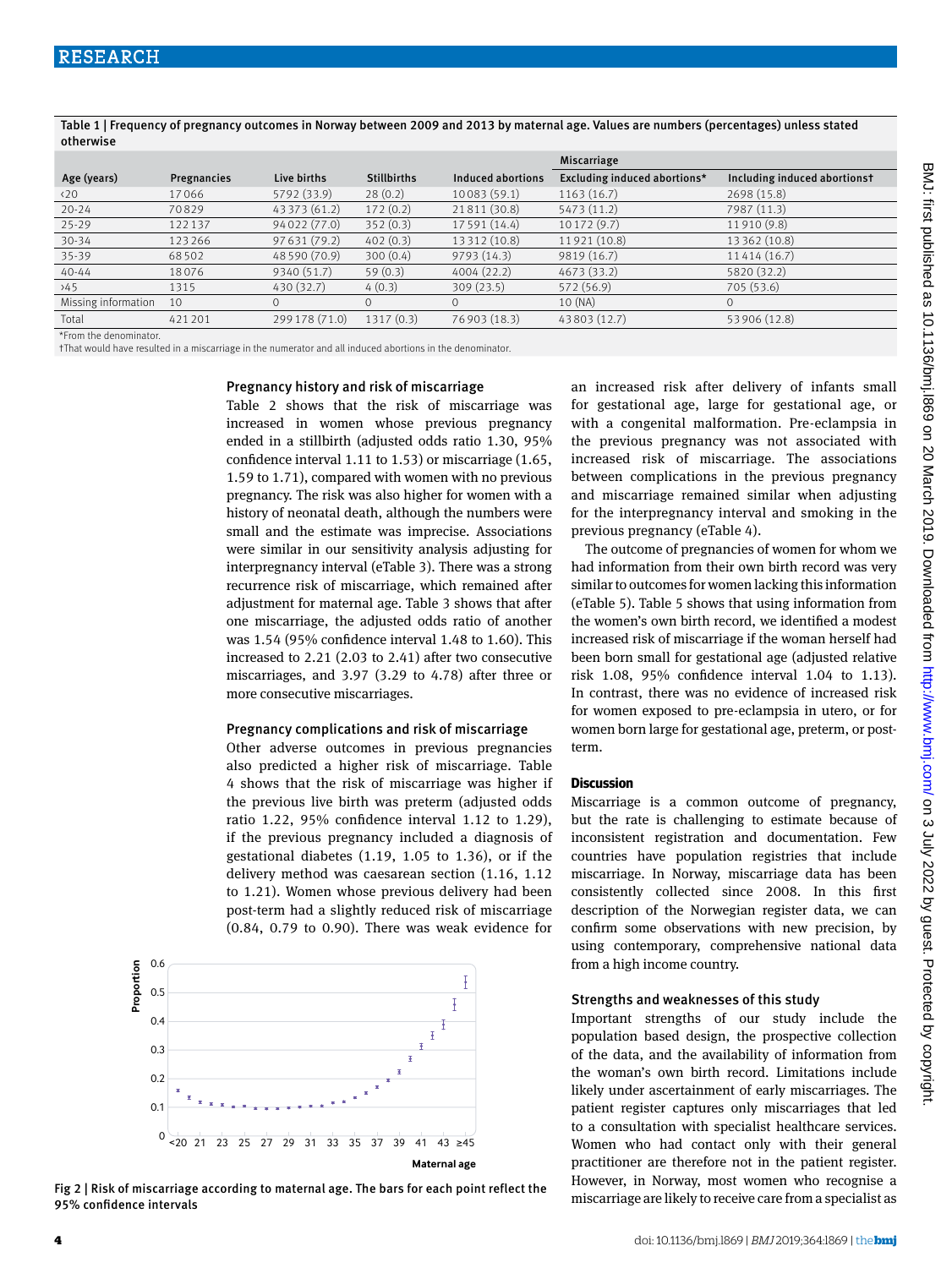|                      |             |                |                    |                   | Miscarriage                  |                              |
|----------------------|-------------|----------------|--------------------|-------------------|------------------------------|------------------------------|
| Age (years)          | Pregnancies | Live births    | <b>Stillbirths</b> | Induced abortions | Excluding induced abortions* | Including induced abortionst |
| $\langle 20 \rangle$ | 17066       | 5792 (33.9)    | 28(0.2)            | 10083 (59.1)      | 1163(16.7)                   | 2698 (15.8)                  |
| $20 - 24$            | 70829       | 43 373 (61.2)  | 172(0.2)           | 21811 (30.8)      | 5473 (11.2)                  | 7987 (11.3)                  |
| $25 - 29$            | 122137      | 94 022 (77.0)  | 352(0.3)           | 17 591 (14.4)     | 10172(9.7)                   | 11910 (9.8)                  |
| $30 - 34$            | 123266      | 97 631 (79.2)  | 402(0.3)           | 13 312 (10.8)     | 11921 (10.8)                 | 13 362 (10.8)                |
| $35 - 39$            | 68502       | 48 590 (70.9)  | 300(0.4)           | 9793(14.3)        | 9819 (16.7)                  | 11414 (16.7)                 |
| $40 - 44$            | 18076       | 9340 (51.7)    | 59(0.3)            | 4004 (22.2)       | 4673 (33.2)                  | 5820 (32.2)                  |
| 245                  | 1315        | 430 (32.7)     | 4(0.3)             | 309(23.5)         | 572 (56.9)                   | 705 (53.6)                   |
| Missing information  | 10          | $\Omega$       | $\Omega$           | $\Omega$          | 10 (NA)                      | $\Omega$                     |
| Total                | 421201      | 299 178 (71.0) | 1317(0.3)          | 76 903 (18.3)     | 43803 (12.7)                 | 53 906 (12.8)                |

Table 1 | Frequency of pregnancy outcomes in Norway between 2009 and 2013 by maternal age. Values are numbers (percentages) unless stated otherwise

\*From the denominator.

†That would have resulted in a miscarriage in the numerator and all induced abortions in the denominator.

#### Pregnancy history and risk of miscarriage

Table 2 shows that the risk of miscarriage was increased in women whose previous pregnancy ended in a stillbirth (adjusted odds ratio 1.30, 95% confidence interval 1.11 to 1.53) or miscarriage (1.65, 1.59 to 1.71), compared with women with no previous pregnancy. The risk was also higher for women with a history of neonatal death, although the numbers were small and the estimate was imprecise. Associations were similar in our sensitivity analysis adjusting for interpregnancy interval (eTable 3). There was a strong recurrence risk of miscarriage, which remained after adjustment for maternal age. Table 3 shows that after one miscarriage, the adjusted odds ratio of another was 1.54 (95% confidence interval 1.48 to 1.60). This increased to 2.21 (2.03 to 2.41) after two consecutive miscarriages, and 3.97 (3.29 to 4.78) after three or more consecutive miscarriages.

#### Pregnancy complications and risk of miscarriage

Other adverse outcomes in previous pregnancies also predicted a higher risk of miscarriage. Table 4 shows that the risk of miscarriage was higher if the previous live birth was preterm (adjusted odds ratio 1.22, 95% confidence interval 1.12 to 1.29), if the previous pregnancy included a diagnosis of gestational diabetes (1.19, 1.05 to 1.36), or if the delivery method was caesarean section (1.16, 1.12 to 1.21). Women whose previous delivery had been post-term had a slightly reduced risk of miscarriage (0.84, 0.79 to 0.90). There was weak evidence for



Fig 2 | Risk of miscarriage according to maternal age. The bars for each point reflect the 95% confidence intervals

an increased risk after delivery of infants small for gestational age, large for gestational age, or with a congenital malformation. Pre-eclampsia in the previous pregnancy was not associated with increased risk of miscarriage. The associations between complications in the previous pregnancy and miscarriage remained similar when adjusting for the interpregnancy interval and smoking in the previous pregnancy (eTable 4).

The outcome of pregnancies of women for whom we had information from their own birth record was very similar to outcomes for women lacking this information (eTable 5). Table 5 shows that using information from the women's own birth record, we identified a modest increased risk of miscarriage if the woman herself had been born small for gestational age (adjusted relative risk 1.08, 95% confidence interval 1.04 to 1.13). In contrast, there was no evidence of increased risk for women exposed to pre-eclampsia in utero, or for women born large for gestational age, preterm, or postterm.

### **Discussion**

Miscarriage is a common outcome of pregnancy, but the rate is challenging to estimate because of inconsistent registration and documentation. Few countries have population registries that include miscarriage. In Norway, miscarriage data has been consistently collected since 2008. In this first description of the Norwegian register data, we can confirm some observations with new precision, by using contemporary, comprehensive national data from a high income country.

#### Strengths and weaknesses of this study

Important strengths of our study include the population based design, the prospective collection of the data, and the availability of information from the woman's own birth record. Limitations include likely under ascertainment of early miscarriages. The patient register captures only miscarriages that led to a consultation with specialist healthcare services. Women who had contact only with their general practitioner are therefore not in the patient register. However, in Norway, most women who recognise a miscarriage are likely to receive care from a specialist as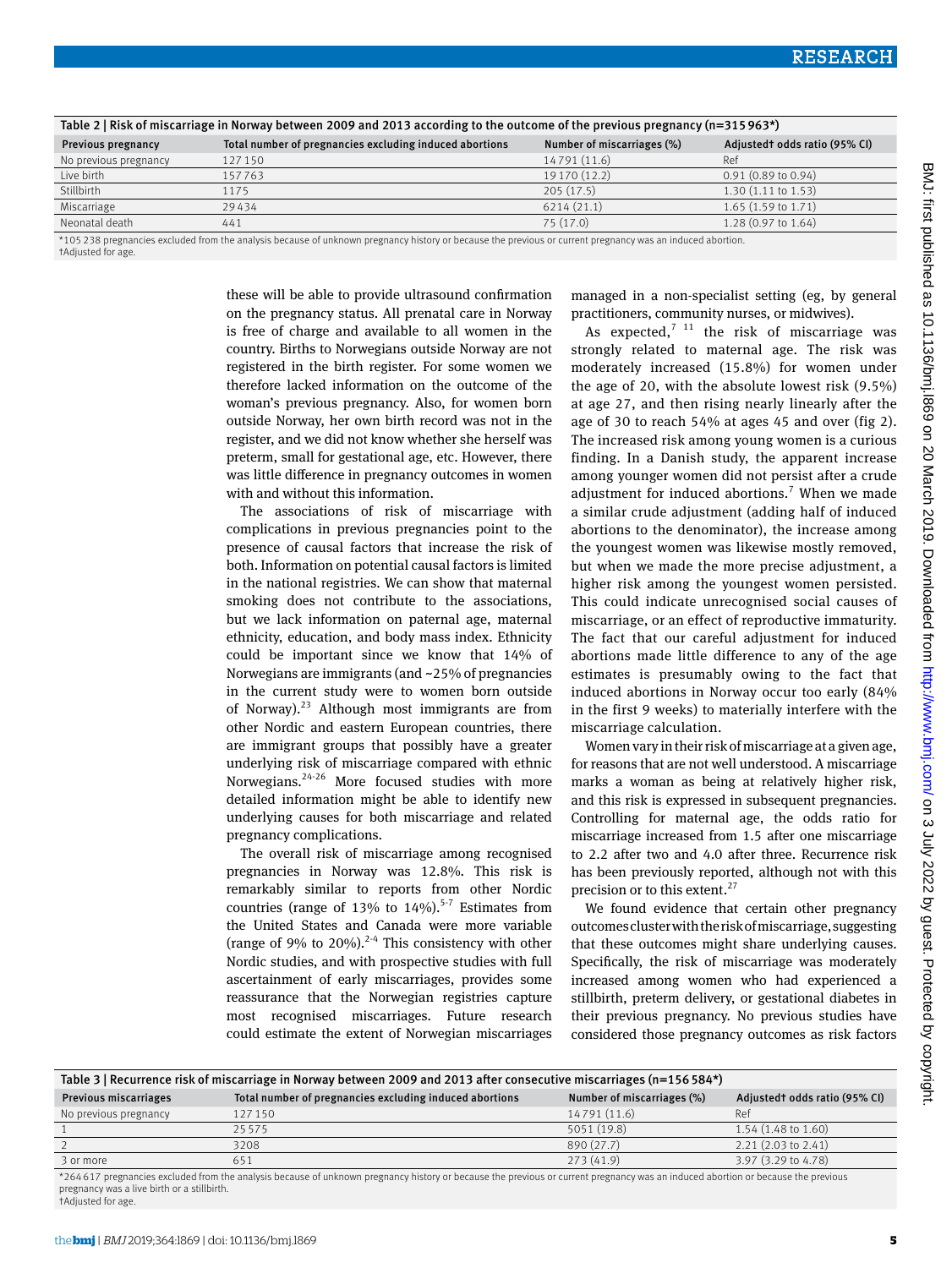| Table 2   Risk of miscarriage in Norway between 2009 and 2013 according to the outcome of the previous pregnancy (n=315963*) |                                                         |                            |                               |
|------------------------------------------------------------------------------------------------------------------------------|---------------------------------------------------------|----------------------------|-------------------------------|
| Previous pregnancy                                                                                                           | Total number of pregnancies excluding induced abortions | Number of miscarriages (%) | Adjusted todds ratio (95% CI) |
| No previous pregnancy                                                                                                        | 127 150                                                 | 14791 (11.6)               | Ref                           |
| Live birth                                                                                                                   | 157763                                                  | 19 170 (12.2)              | $0.91(0.89 \text{ to } 0.94)$ |
| Stillbirth                                                                                                                   | 1175                                                    | 205(17.5)                  | $1.30(1.11 \text{ to } 1.53)$ |
| Miscarriage                                                                                                                  | 29434                                                   | 6214(21.1)                 | $1.65(1.59 \text{ to } 1.71)$ |
| Neonatal death                                                                                                               | 441                                                     | 75 (17.0)                  | $1.28(0.97 \text{ to } 1.64)$ |
|                                                                                                                              |                                                         |                            |                               |

\*105 238 pregnancies excluded from the analysis because of unknown pregnancy history or because the previous or current pregnancy was an induced abortion. †Adjusted for age.

> these will be able to provide ultrasound confirmation on the pregnancy status. All prenatal care in Norway is free of charge and available to all women in the country. Births to Norwegians outside Norway are not registered in the birth register. For some women we therefore lacked information on the outcome of the woman's previous pregnancy. Also, for women born outside Norway, her own birth record was not in the register, and we did not know whether she herself was preterm, small for gestational age, etc. However, there was little difference in pregnancy outcomes in women with and without this information.

The associations of risk of miscarriage with complications in previous pregnancies point to the presence of causal factors that increase the risk of both. Information on potential causal factors is limited in the national registries. We can show that maternal smoking does not contribute to the associations, but we lack information on paternal age, maternal ethnicity, education, and body mass index. Ethnicity could be important since we know that 14% of Norwegians are immigrants (and ~25% of pregnancies in the current study were to women born outside of Norway). $^{23}$  Although most immigrants are from other Nordic and eastern European countries, there are immigrant groups that possibly have a greater underlying risk of miscarriage compared with ethnic Norwegians.24-26 More focused studies with more detailed information might be able to identify new underlying causes for both miscarriage and related pregnancy complications.

The overall risk of miscarriage among recognised pregnancies in Norway was 12.8%. This risk is remarkably similar to reports from other Nordic countries (range of 13% to  $14\%$ ).<sup>5-7</sup> Estimates from the United States and Canada were more variable (range of 9% to 20%).<sup>2-4</sup> This consistency with other Nordic studies, and with prospective studies with full ascertainment of early miscarriages, provides some reassurance that the Norwegian registries capture most recognised miscarriages. Future research could estimate the extent of Norwegian miscarriages managed in a non-specialist setting (eg, by general practitioners, community nurses, or midwives).

As expected,<sup>7 11</sup> the risk of miscarriage was strongly related to maternal age. The risk was moderately increased (15.8%) for women under the age of 20, with the absolute lowest risk (9.5%) at age 27, and then rising nearly linearly after the age of 30 to reach 54% at ages 45 and over (fig 2). The increased risk among young women is a curious finding. In a Danish study, the apparent increase among younger women did not persist after a crude adjustment for induced abortions.<sup>7</sup> When we made a similar crude adjustment (adding half of induced abortions to the denominator), the increase among the youngest women was likewise mostly removed, but when we made the more precise adjustment, a higher risk among the youngest women persisted. This could indicate unrecognised social causes of miscarriage, or an effect of reproductive immaturity. The fact that our careful adjustment for induced abortions made little difference to any of the age estimates is presumably owing to the fact that induced abortions in Norway occur too early (84% in the first 9 weeks) to materially interfere with the miscarriage calculation.

Women vary in their risk of miscarriage at a given age, for reasons that are not well understood. A miscarriage marks a woman as being at relatively higher risk, and this risk is expressed in subsequent pregnancies. Controlling for maternal age, the odds ratio for miscarriage increased from 1.5 after one miscarriage to 2.2 after two and 4.0 after three. Recurrence risk has been previously reported, although not with this precision or to this extent.<sup>27</sup>

We found evidence that certain other pregnancy outcomes cluster with the risk of miscarriage, suggesting that these outcomes might share underlying causes. Specifically, the risk of miscarriage was moderately increased among women who had experienced a stillbirth, preterm delivery, or gestational diabetes in their previous pregnancy. No previous studies have considered those pregnancy outcomes as risk factors

| Table 3   Recurrence risk of miscarriage in Norway between 2009 and 2013 after consecutive miscarriages (n=156584*) |                                                         |                            |                               |  |
|---------------------------------------------------------------------------------------------------------------------|---------------------------------------------------------|----------------------------|-------------------------------|--|
| Previous miscarriages                                                                                               | Total number of pregnancies excluding induced abortions | Number of miscarriages (%) | Adjusted todds ratio (95% CI) |  |
| No previous pregnancy                                                                                               | 127150                                                  | 14791 (11.6)               | Ref                           |  |
|                                                                                                                     | 25575                                                   | 5051 (19.8)                | $1.54(1.48 \text{ to } 1.60)$ |  |
|                                                                                                                     | 3208                                                    | 890 (27.7)                 | $2.21(2.03 \text{ to } 2.41)$ |  |
| 3 or more                                                                                                           | 651                                                     | 273(41.9)                  | 3.97 (3.29 to 4.78)           |  |

\*264 617 pregnancies excluded from the analysis because of unknown pregnancy history or because the previous or current pregnancy was an induced abortion or because the previous pregnancy was a live birth or a stillbirth. †Adjusted for age.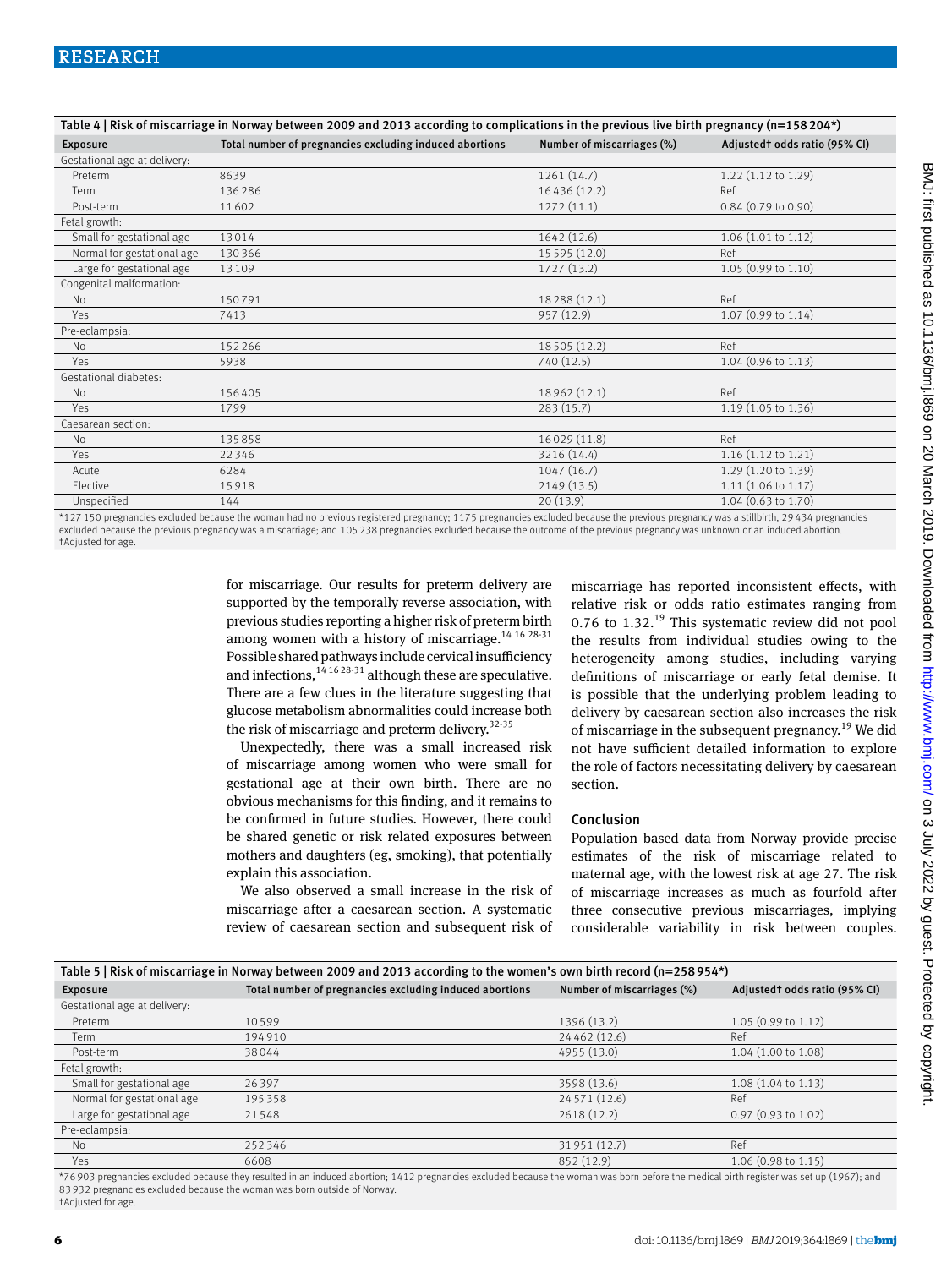| Table 4   Risk of miscarriage in Norway between 2009 and 2013 according to complications in the previous live birth pregnancy (n=158 204*) |                                                         |                            |                               |  |
|--------------------------------------------------------------------------------------------------------------------------------------------|---------------------------------------------------------|----------------------------|-------------------------------|--|
| <b>Exposure</b>                                                                                                                            | Total number of pregnancies excluding induced abortions | Number of miscarriages (%) | Adjusted todds ratio (95% CI) |  |
| Gestational age at delivery:                                                                                                               |                                                         |                            |                               |  |
| Preterm                                                                                                                                    | 8639                                                    | 1261(14.7)                 | $1.22$ (1.12 to 1.29)         |  |
| Term                                                                                                                                       | 136286                                                  | 16436 (12.2)               | Ref                           |  |
| Post-term                                                                                                                                  | 11602                                                   | 1272(11.1)                 | $0.84$ (0.79 to 0.90)         |  |
| Fetal growth:                                                                                                                              |                                                         |                            |                               |  |
| Small for gestational age                                                                                                                  | 13014                                                   | 1642 (12.6)                | $1.06$ (1.01 to 1.12)         |  |
| Normal for gestational age                                                                                                                 | 130366                                                  | 15 5 95 (12.0)             | Ref                           |  |
| Large for gestational age                                                                                                                  | 13109                                                   | 1727 (13.2)                | $1.05(0.99 \text{ to } 1.10)$ |  |
| Congenital malformation:                                                                                                                   |                                                         |                            |                               |  |
| <b>No</b>                                                                                                                                  | 150791                                                  | 18288 (12.1)               | Ref                           |  |
| Yes                                                                                                                                        | 7413                                                    | 957 (12.9)                 | 1.07 (0.99 to 1.14)           |  |
| Pre-eclampsia:                                                                                                                             |                                                         |                            |                               |  |
| <b>No</b>                                                                                                                                  | 152266                                                  | 18505 (12.2)               | Ref                           |  |
| Yes                                                                                                                                        | 5938                                                    | 740 (12.5)                 | $1.04$ (0.96 to 1.13)         |  |
| Gestational diabetes:                                                                                                                      |                                                         |                            |                               |  |
| <b>No</b>                                                                                                                                  | 156405                                                  | 18962 (12.1)               | Ref                           |  |
| Yes                                                                                                                                        | 1799                                                    | 283(15.7)                  | 1.19 (1.05 to 1.36)           |  |
| Caesarean section:                                                                                                                         |                                                         |                            |                               |  |
| <b>No</b>                                                                                                                                  | 135858                                                  | 16029 (11.8)               | Ref                           |  |
| Yes                                                                                                                                        | 22346                                                   | 3216 (14.4)                | $1.16(1.12 \text{ to } 1.21)$ |  |
| Acute                                                                                                                                      | 6284                                                    | 1047(16.7)                 | $1.29(1.20 \text{ to } 1.39)$ |  |
| Elective                                                                                                                                   | 15918                                                   | 2149 (13.5)                | $1.11(1.06 \text{ to } 1.17)$ |  |
| Unspecified                                                                                                                                | 144                                                     | 20(13.9)                   | 1.04 (0.63 to 1.70)           |  |

\*127 150 pregnancies excluded because the woman had no previous registered pregnancy; 1175 pregnancies excluded because the previous pregnancy was a stillbirth, 29 434 pregnancies excluded because the previous pregnancy was a miscarriage; and 105 238 pregnancies excluded because the outcome of the previous pregnancy was unknown or an induced abortion. †Adjusted for age.

> for miscarriage. Our results for preterm delivery are supported by the temporally reverse association, with previous studies reporting a higher risk of preterm birth among women with a history of miscarriage.<sup>14 16 28-31</sup> Possible shared pathways include cervical insufficiency and infections,  $14\,16\,28\cdot31$  although these are speculative. There are a few clues in the literature suggesting that glucose metabolism abnormalities could increase both the risk of miscarriage and preterm delivery.<sup>32-35</sup>

> Unexpectedly, there was a small increased risk of miscarriage among women who were small for gestational age at their own birth. There are no obvious mechanisms for this finding, and it remains to be confirmed in future studies. However, there could be shared genetic or risk related exposures between mothers and daughters (eg, smoking), that potentially explain this association.

> We also observed a small increase in the risk of miscarriage after a caesarean section. A systematic review of caesarean section and subsequent risk of

miscarriage has reported inconsistent effects, with relative risk or odds ratio estimates ranging from 0.76 to  $1.32^{19}$  This systematic review did not pool the results from individual studies owing to the heterogeneity among studies, including varying definitions of miscarriage or early fetal demise. It is possible that the underlying problem leading to delivery by caesarean section also increases the risk of miscarriage in the subsequent pregnancy.<sup>19</sup> We did not have sufficient detailed information to explore the role of factors necessitating delivery by caesarean section.

### Conclusion

Population based data from Norway provide precise estimates of the risk of miscarriage related to maternal age, with the lowest risk at age 27. The risk of miscarriage increases as much as fourfold after three consecutive previous miscarriages, implying considerable variability in risk between couples.

| Table 5   Risk of miscarriage in Norway between 2009 and 2013 according to the women's own birth record (n=258954*) |                                                         |                            |                               |  |
|---------------------------------------------------------------------------------------------------------------------|---------------------------------------------------------|----------------------------|-------------------------------|--|
| <b>Exposure</b>                                                                                                     | Total number of pregnancies excluding induced abortions | Number of miscarriages (%) | Adjusted todds ratio (95% CI) |  |
| Gestational age at delivery:                                                                                        |                                                         |                            |                               |  |
| Preterm                                                                                                             | 10599                                                   | 1396 (13.2)                | $1.05(0.99 \text{ to } 1.12)$ |  |
| Term                                                                                                                | 194910                                                  | 24 462 (12.6)              | Ref                           |  |
| Post-term                                                                                                           | 38044                                                   | 4955 (13.0)                | 1.04 (1.00 to 1.08)           |  |
| Fetal growth:                                                                                                       |                                                         |                            |                               |  |
| Small for gestational age                                                                                           | 26397                                                   | 3598 (13.6)                | $1.08(1.04 \text{ to } 1.13)$ |  |
| Normal for gestational age                                                                                          | 195358                                                  | 24 5 7 1 (12.6)            | Ref                           |  |
| Large for gestational age                                                                                           | 21548                                                   | 2618 (12.2)                | $0.97(0.93 \text{ to } 1.02)$ |  |
| Pre-eclampsia:                                                                                                      |                                                         |                            |                               |  |
| <b>No</b>                                                                                                           | 252346                                                  | 31951 (12.7)               | Ref                           |  |
| Yes                                                                                                                 | 6608                                                    | 852 (12.9)                 | 1.06 (0.98 to 1.15)           |  |

\*76 903 pregnancies excluded because they resulted in an induced abortion; 1412 pregnancies excluded because the woman was born before the medical birth register was set up (1967); and 83 932 pregnancies excluded because the woman was born outside of Norway. †Adjusted for age.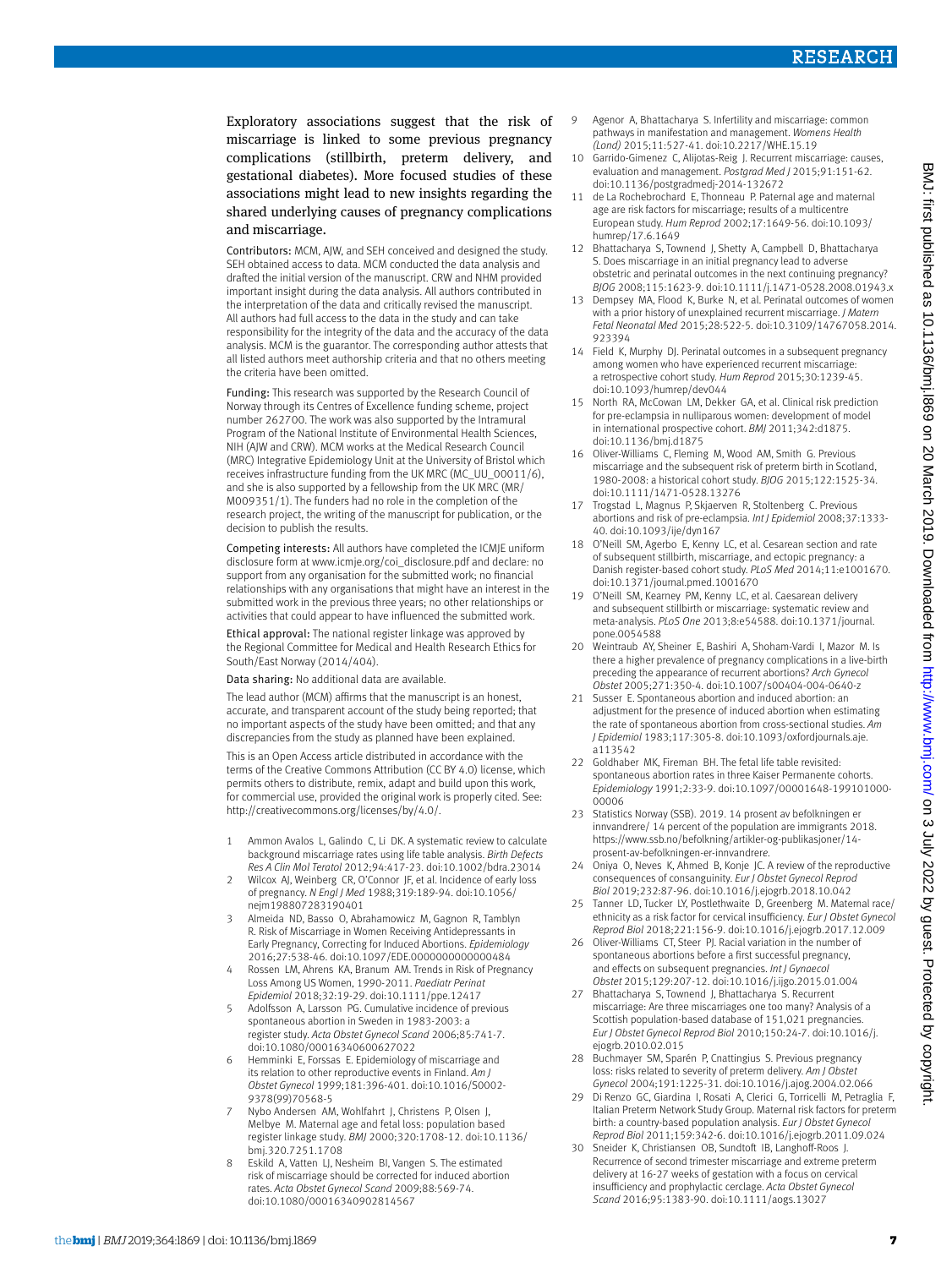Exploratory associations suggest that the risk of miscarriage is linked to some previous pregnancy complications (stillbirth, preterm delivery, and gestational diabetes). More focused studies of these associations might lead to new insights regarding the shared underlying causes of pregnancy complications and miscarriage.

Contributors: MCM, AJW, and SEH conceived and designed the study. SEH obtained access to data. MCM conducted the data analysis and drafted the initial version of the manuscript. CRW and NHM provided important insight during the data analysis. All authors contributed in the interpretation of the data and critically revised the manuscript. All authors had full access to the data in the study and can take responsibility for the integrity of the data and the accuracy of the data analysis. MCM is the guarantor. The corresponding author attests that all listed authors meet authorship criteria and that no others meeting the criteria have been omitted.

Funding: This research was supported by the Research Council of Norway through its Centres of Excellence funding scheme, project number 262700. The work was also supported by the Intramural Program of the National Institute of Environmental Health Sciences, NIH (AJW and CRW). MCM works at the Medical Research Council (MRC) Integrative Epidemiology Unit at the University of Bristol which receives infrastructure funding from the UK MRC (MC\_UU\_00011/6), and she is also supported by a fellowship from the UK MRC (MR/ M009351/1). The funders had no role in the completion of the research project, the writing of the manuscript for publication, or the decision to publish the results.

Competing interests: All authors have completed the ICMJE uniform disclosure form at [www.icmje.org/coi\\_disclosure.pdf](http://www.icmje.org/coi_disclosure.pdf) and declare: no support from any organisation for the submitted work; no financial relationships with any organisations that might have an interest in the submitted work in the previous three years; no other relationships or activities that could appear to have influenced the submitted work.

Ethical approval: The national register linkage was approved by the Regional Committee for Medical and Health Research Ethics for South/East Norway (2014/404).

Data sharing: No additional data are available.

The lead author (MCM) affirms that the manuscript is an honest, accurate, and transparent account of the study being reported; that no important aspects of the study have been omitted; and that any discrepancies from the study as planned have been explained.

This is an Open Access article distributed in accordance with the terms of the Creative Commons Attribution (CC BY 4.0) license, which permits others to distribute, remix, adapt and build upon this work, for commercial use, provided the original work is properly cited. See: [http://creativecommons.org/licenses/by/4.0/.](http://creativecommons.org/licenses/by/4.0/)

- 1 Ammon Avalos L, Galindo C, Li DK. A systematic review to calculate background miscarriage rates using life table analysis. *Birth Defects Res A Clin Mol Teratol* 2012;94:417-23. doi:10.1002/bdra.23014
- 2 Wilcox AJ, Weinberg CR, O'Connor JF, et al. Incidence of early loss of pregnancy. *N Engl J Med* 1988;319:189-94. doi:10.1056/ nejm198807283190401
- 3 Almeida ND, Basso O, Abrahamowicz M, Gagnon R, Tamblyn R. Risk of Miscarriage in Women Receiving Antidepressants in Early Pregnancy, Correcting for Induced Abortions. *Epidemiology*  2016;27:538-46. doi:10.1097/EDE.0000000000000484
- 4 Rossen LM, Ahrens KA, Branum AM. Trends in Risk of Pregnancy Loss Among US Women, 1990-2011. *Paediatr Perinat Epidemiol* 2018;32:19-29. doi:10.1111/ppe.12417
- 5 Adolfsson A, Larsson PG. Cumulative incidence of previous spontaneous abortion in Sweden in 1983-2003: a register study. *Acta Obstet Gynecol Scand* 2006;85:741-7. doi:10.1080/00016340600627022
- Hemminki E, Forssas E. Epidemiology of miscarriage and its relation to other reproductive events in Finland. *Am J Obstet Gynecol* 1999;181:396-401. doi:10.1016/S0002- 9378(99)70568-5
- Nybo Andersen AM, Wohlfahrt J, Christens P, Olsen J, Melbye M. Maternal age and fetal loss: population based register linkage study. *BMJ* 2000;320:1708-12. doi:10.1136/ bmj.320.7251.1708
- Eskild A, Vatten LJ, Nesheim BI, Vangen S. The estimated risk of miscarriage should be corrected for induced abortion rates. *Acta Obstet Gynecol Scand* 2009;88:569-74. doi:10.1080/00016340902814567
- 9 Agenor A, Bhattacharya S. Infertility and miscarriage: common pathways in manifestation and management. *Womens Health (Lond)* 2015;11:527-41. doi:10.2217/WHE.15.19
- 10 Garrido-Gimenez C, Alijotas-Reig J. Recurrent miscarriage: causes, evaluation and management. *Postgrad Med J* 2015;91:151-62. doi:10.1136/postgradmedj-2014-132672
- 11 de La Rochebrochard E, Thonneau P. Paternal age and maternal age are risk factors for miscarriage; results of a multicentre European study. *Hum Reprod* 2002;17:1649-56. doi:10.1093/ humrep/17.6.1649
- 12 Bhattacharya S, Townend J, Shetty A, Campbell D, Bhattacharya S. Does miscarriage in an initial pregnancy lead to adverse obstetric and perinatal outcomes in the next continuing pregnancy? *BJOG* 2008;115:1623-9. doi:10.1111/j.1471-0528.2008.01943.x
- 13 Dempsey MA, Flood K, Burke N, et al. Perinatal outcomes of women with a prior history of unexplained recurrent miscarriage. *J Matern Fetal Neonatal Med* 2015;28:522-5. doi:10.3109/14767058.2014. 923394
- 14 Field K, Murphy DJ. Perinatal outcomes in a subsequent pregnancy among women who have experienced recurrent miscarriage: a retrospective cohort study. *Hum Reprod* 2015;30:1239-45. doi:10.1093/humrep/dev044
- 15 North RA, McCowan LM, Dekker GA, et al. Clinical risk prediction for pre-eclampsia in nulliparous women: development of model in international prospective cohort. *BMJ* 2011;342:d1875. doi:10.1136/bmj.d1875
- 16 Oliver-Williams C, Fleming M, Wood AM, Smith G. Previous miscarriage and the subsequent risk of preterm birth in Scotland, 1980-2008: a historical cohort study. *BJOG* 2015;122:1525-34. doi:10.1111/1471-0528.13276
- 17 Trogstad L, Magnus P, Skjaerven R, Stoltenberg C. Previous abortions and risk of pre-eclampsia. *Int J Epidemiol* 2008;37:1333- 40. doi:10.1093/ije/dyn167
- 18 O'Neill SM, Agerbo E, Kenny LC, et al. Cesarean section and rate of subsequent stillbirth, miscarriage, and ectopic pregnancy: a Danish register-based cohort study. *PLoS Med* 2014;11:e1001670. doi:10.1371/journal.pmed.1001670
- 19 O'Neill SM, Kearney PM, Kenny LC, et al. Caesarean delivery and subsequent stillbirth or miscarriage: systematic review and meta-analysis. *PLoS One* 2013;8:e54588. doi:10.1371/journal. pone.0054588
- 20 Weintraub AY, Sheiner E, Bashiri A, Shoham-Vardi I, Mazor M. Is there a higher prevalence of pregnancy complications in a live-birth preceding the appearance of recurrent abortions? *Arch Gynecol Obstet* 2005;271:350-4. doi:10.1007/s00404-004-0640-z
- 21 Susser E. Spontaneous abortion and induced abortion: an adjustment for the presence of induced abortion when estimating the rate of spontaneous abortion from cross-sectional studies. *Am J Epidemiol* 1983;117:305-8. doi:10.1093/oxfordjournals.aje. a113542
- 22 Goldhaber MK Fireman BH The fetal life table revisited: spontaneous abortion rates in three Kaiser Permanente cohorts. *Epidemiology* 1991;2:33-9. doi:10.1097/00001648-199101000- 00006
- 23 Statistics Norway (SSB). 2019. 14 prosent av befolkningen er innvandrere/ 14 percent of the population are immigrants 2018. [https://www.ssb.no/befolkning/artikler-og-publikasjoner/14](https://www.ssb.no/befolkning/artikler-og-publikasjoner/14-prosent-av-befolkningen-er-innvandrere) [prosent-av-befolkningen-er-innvandrer](https://www.ssb.no/befolkning/artikler-og-publikasjoner/14-prosent-av-befolkningen-er-innvandrere)*e*.
- 24 Oniya O, Neves K, Ahmed B, Konje JC. A review of the reproductive consequences of consanguinity. *Eur J Obstet Gynecol Reprod Biol* 2019;232:87-96. doi:10.1016/j.ejogrb.2018.10.042
- 25 Tanner LD, Tucker LY, Postlethwaite D, Greenberg M. Maternal race/ ethnicity as a risk factor for cervical insufficiency. *Eur J Obstet Gynecol Reprod Biol* 2018;221:156-9. doi:10.1016/j.ejogrb.2017.12.009
- 26 Oliver-Williams CT, Steer PJ. Racial variation in the number of spontaneous abortions before a first successful pregnancy, and effects on subsequent pregnancies. *Int J Gynaecol Obstet* 2015;129:207-12. doi:10.1016/j.ijgo.2015.01.004
- 27 Bhattacharya S, Townend J, Bhattacharya S. Recurrent miscarriage: Are three miscarriages one too many? Analysis of a Scottish population-based database of 151,021 pregnancies. *Eur J Obstet Gynecol Reprod Biol* 2010;150:24-7. doi:10.1016/j. ejogrb.2010.02.015
- 28 Buchmayer SM, Sparén P, Cnattingius S. Previous pregnancy loss: risks related to severity of preterm delivery. *Am J Obstet Gynecol* 2004;191:1225-31. doi:10.1016/j.ajog.2004.02.066
- 29 Di Renzo GC, Giardina I, Rosati A, Clerici G, Torricelli M, Petraglia F, Italian Preterm Network Study Group. Maternal risk factors for preterm birth: a country-based population analysis. *Eur J Obstet Gynecol Reprod Biol* 2011;159:342-6. doi:10.1016/j.ejogrb.2011.09.024
- 30 Sneider K, Christiansen OB, Sundtoft IB, Langhoff-Roos J. Recurrence of second trimester miscarriage and extreme preterm delivery at 16-27 weeks of gestation with a focus on cervical insufficiency and prophylactic cerclage. *Acta Obstet Gynecol Scand* 2016;95:1383-90. doi:10.1111/aogs.13027